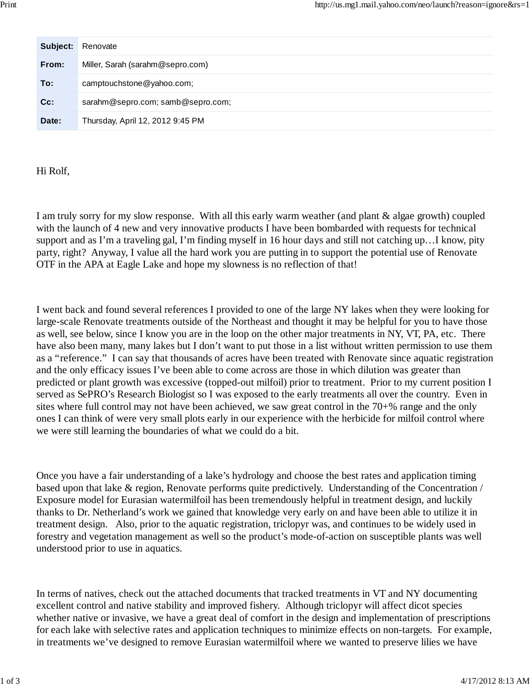| Subject: | Renovate                          |
|----------|-----------------------------------|
| From:    | Miller, Sarah (sarahm@sepro.com)  |
| To:      | camptouchstone@yahoo.com;         |
| $Cc$ :   | sarahm@sepro.com; samb@sepro.com; |
| Date:    | Thursday, April 12, 2012 9:45 PM  |

Hi Rolf,

I am truly sorry for my slow response. With all this early warm weather (and plant & algae growth) coupled with the launch of 4 new and very innovative products I have been bombarded with requests for technical support and as I'm a traveling gal, I'm finding myself in 16 hour days and still not catching up…I know, pity party, right? Anyway, I value all the hard work you are putting in to support the potential use of Renovate OTF in the APA at Eagle Lake and hope my slowness is no reflection of that!

I went back and found several references I provided to one of the large NY lakes when they were looking for large-scale Renovate treatments outside of the Northeast and thought it may be helpful for you to have those as well, see below, since I know you are in the loop on the other major treatments in NY, VT, PA, etc. There have also been many, many lakes but I don't want to put those in a list without written permission to use them as a "reference." I can say that thousands of acres have been treated with Renovate since aquatic registration and the only efficacy issues I've been able to come across are those in which dilution was greater than predicted or plant growth was excessive (topped-out milfoil) prior to treatment. Prior to my current position I served as SePRO's Research Biologist so I was exposed to the early treatments all over the country. Even in sites where full control may not have been achieved, we saw great control in the 70+% range and the only ones I can think of were very small plots early in our experience with the herbicide for milfoil control where we were still learning the boundaries of what we could do a bit.

Once you have a fair understanding of a lake's hydrology and choose the best rates and application timing based upon that lake & region, Renovate performs quite predictively. Understanding of the Concentration / Exposure model for Eurasian watermilfoil has been tremendously helpful in treatment design, and luckily thanks to Dr. Netherland's work we gained that knowledge very early on and have been able to utilize it in treatment design. Also, prior to the aquatic registration, triclopyr was, and continues to be widely used in forestry and vegetation management as well so the product's mode-of-action on susceptible plants was well understood prior to use in aquatics.

In terms of natives, check out the attached documents that tracked treatments in VT and NY documenting excellent control and native stability and improved fishery. Although triclopyr will affect dicot species whether native or invasive, we have a great deal of comfort in the design and implementation of prescriptions for each lake with selective rates and application techniques to minimize effects on non-targets. For example, in treatments we've designed to remove Eurasian watermilfoil where we wanted to preserve lilies we have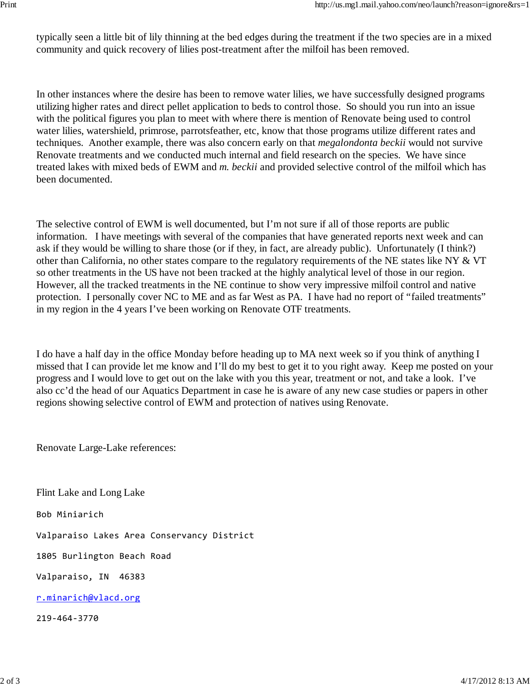typically seen a little bit of lily thinning at the bed edges during the treatment if the two species are in a mixed community and quick recovery of lilies post-treatment after the milfoil has been removed.

In other instances where the desire has been to remove water lilies, we have successfully designed programs utilizing higher rates and direct pellet application to beds to control those. So should you run into an issue with the political figures you plan to meet with where there is mention of Renovate being used to control water lilies, watershield, primrose, parrotsfeather, etc, know that those programs utilize different rates and techniques. Another example, there was also concern early on that *megalondonta beckii* would not survive Renovate treatments and we conducted much internal and field research on the species. We have since treated lakes with mixed beds of EWM and *m. beckii* and provided selective control of the milfoil which has been documented.

The selective control of EWM is well documented, but I'm not sure if all of those reports are public information. I have meetings with several of the companies that have generated reports next week and can ask if they would be willing to share those (or if they, in fact, are already public). Unfortunately (I think?) other than California, no other states compare to the regulatory requirements of the NE states like NY & VT so other treatments in the US have not been tracked at the highly analytical level of those in our region. However, all the tracked treatments in the NE continue to show very impressive milfoil control and native protection. I personally cover NC to ME and as far West as PA. I have had no report of "failed treatments" in my region in the 4 years I've been working on Renovate OTF treatments.

I do have a half day in the office Monday before heading up to MA next week so if you think of anything I missed that I can provide let me know and I'll do my best to get it to you right away. Keep me posted on your progress and I would love to get out on the lake with you this year, treatment or not, and take a look. I've also cc'd the head of our Aquatics Department in case he is aware of any new case studies or papers in other regions showing selective control of EWM and protection of natives using Renovate.

Renovate Large-Lake references:

Flint Lake and Long Lake

Bob Miniarich

Valparaiso Lakes Area Conservancy District

1805 Burlington Beach Road

Valparaiso, IN 46383

r.minarich@vlacd.org

219‐464‐3770